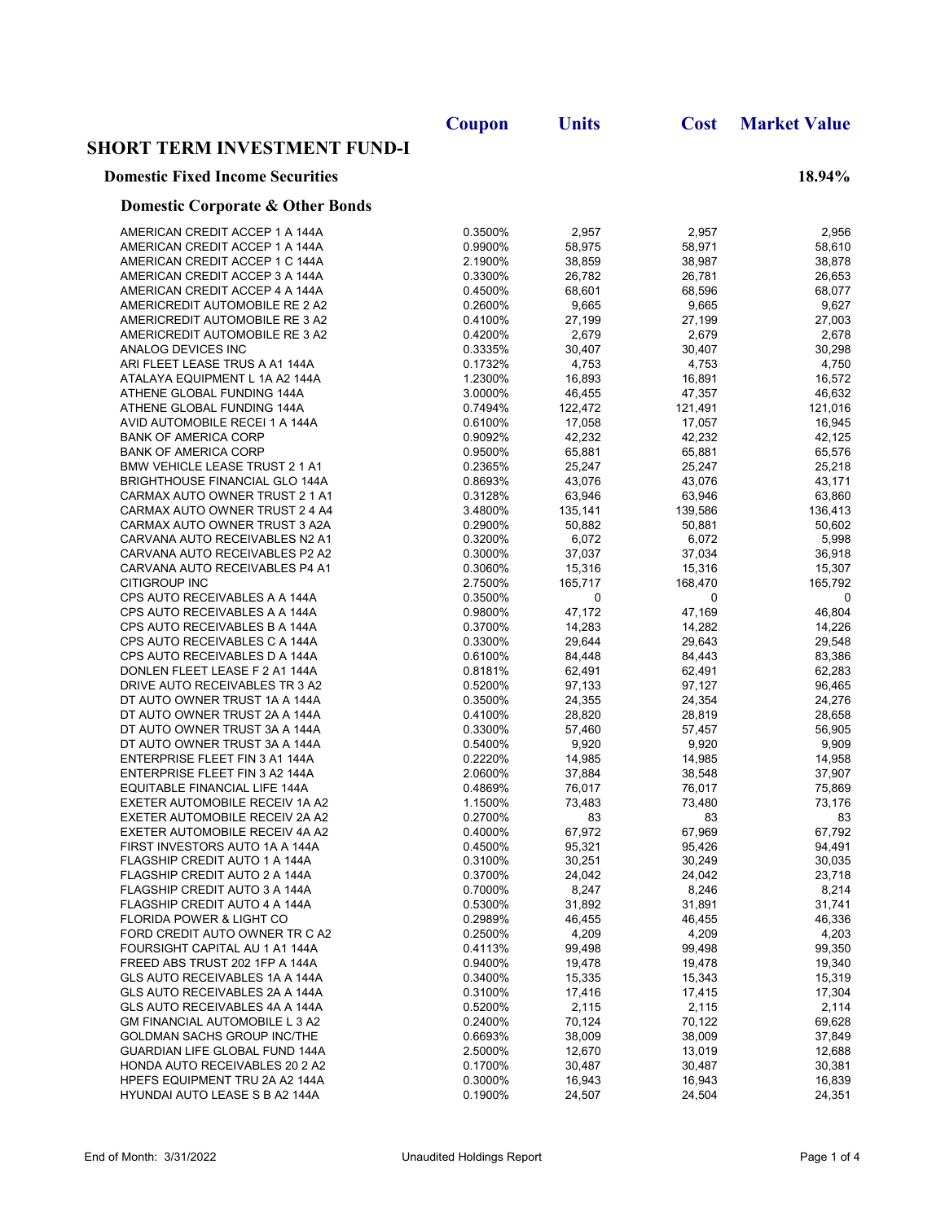|                                             | Coupon  | <b>Units</b> | Cost    | <b>Market Value</b> |
|---------------------------------------------|---------|--------------|---------|---------------------|
| <b>SHORT TERM INVESTMENT FUND-I</b>         |         |              |         |                     |
| <b>Domestic Fixed Income Securities</b>     |         |              |         | 18.94%              |
| <b>Domestic Corporate &amp; Other Bonds</b> |         |              |         |                     |
| AMERICAN CREDIT ACCEP 1 A 144A              | 0.3500% | 2,957        | 2,957   | 2,956               |
| AMERICAN CREDIT ACCEP 1 A 144A              | 0.9900% | 58,975       | 58,971  | 58,610              |
| AMERICAN CREDIT ACCEP 1 C 144A              | 2.1900% | 38,859       | 38,987  | 38,878              |
| AMERICAN CREDIT ACCEP 3 A 144A              | 0.3300% | 26,782       | 26,781  | 26,653              |
| AMERICAN CREDIT ACCEP 4 A 144A              | 0.4500% | 68,601       | 68,596  | 68,077              |
| AMERICREDIT AUTOMOBILE RE 2 A2              | 0.2600% | 9,665        | 9,665   | 9,627               |
| AMERICREDIT AUTOMOBILE RE 3 A2              | 0.4100% | 27,199       | 27,199  | 27,003              |
| AMERICREDIT AUTOMOBILE RE 3 A2              | 0.4200% | 2,679        | 2,679   | 2,678               |
| ANALOG DEVICES INC                          | 0.3335% | 30,407       | 30,407  | 30,298              |
| ARI FLEET LEASE TRUS A A1 144A              | 0.1732% | 4,753        | 4,753   | 4,750               |
| ATALAYA EQUIPMENT L 1A A2 144A              | 1.2300% | 16,893       | 16,891  | 16,572              |
| ATHENE GLOBAL FUNDING 144A                  | 3.0000% | 46,455       | 47,357  | 46,632              |
| ATHENE GLOBAL FUNDING 144A                  | 0.7494% | 122,472      | 121,491 | 121,016             |
| AVID AUTOMOBILE RECEI 1 A 144A              | 0.6100% | 17,058       | 17,057  | 16,945              |
| <b>BANK OF AMERICA CORP</b>                 | 0.9092% | 42,232       | 42,232  | 42,125              |
| <b>BANK OF AMERICA CORP</b>                 | 0.9500% | 65,881       | 65,881  | 65,576              |
| BMW VEHICLE LEASE TRUST 2 1 A1              | 0.2365% | 25,247       | 25,247  | 25,218              |
| <b>BRIGHTHOUSE FINANCIAL GLO 144A</b>       | 0.8693% | 43,076       | 43,076  | 43,171              |
| CARMAX AUTO OWNER TRUST 2 1 A1              | 0.3128% | 63,946       | 63,946  | 63,860              |
| CARMAX AUTO OWNER TRUST 2 4 A4              | 3.4800% | 135,141      | 139,586 | 136,413             |
| CARMAX AUTO OWNER TRUST 3 A2A               | 0.2900% | 50,882       | 50,881  | 50,602              |
| CARVANA AUTO RECEIVABLES N2 A1              | 0.3200% | 6,072        | 6,072   | 5,998               |
| CARVANA AUTO RECEIVABLES P2 A2              | 0.3000% | 37,037       | 37,034  | 36,918              |
| CARVANA AUTO RECEIVABLES P4 A1              | 0.3060% | 15,316       | 15,316  | 15,307              |
| CITIGROUP INC                               | 2.7500% | 165,717      | 168,470 | 165,792             |
| CPS AUTO RECEIVABLES A A 144A               | 0.3500% | 0            | 0       | 0                   |
| CPS AUTO RECEIVABLES A A 144A               | 0.9800% | 47,172       | 47,169  | 46,804              |
| CPS AUTO RECEIVABLES B A 144A               | 0.3700% | 14,283       | 14,282  | 14,226              |
| CPS AUTO RECEIVABLES C A 144A               | 0.3300% | 29,644       | 29,643  | 29,548              |
| CPS AUTO RECEIVABLES D A 144A               | 0.6100% | 84,448       | 84,443  | 83,386              |
| DONLEN FLEET LEASE F 2 A1 144A              | 0.8181% | 62,491       | 62,491  | 62,283              |
| DRIVE AUTO RECEIVABLES TR 3 A2              | 0.5200% | 97,133       | 97,127  | 96,465              |
| DT AUTO OWNER TRUST 1A A 144A               | 0.3500% | 24,355       | 24,354  | 24,276              |
| DT AUTO OWNER TRUST 2A A 144A               | 0.4100% | 28,820       | 28,819  | 28,658              |
| DT AUTO OWNER TRUST 3A A 144A               | 0.3300% | 57,460       | 57,457  | 56,905              |
| DT AUTO OWNER TRUST 3A A 144A               | 0.5400% | 9,920        | 9,920   | 9,909               |
| ENTERPRISE FLEET FIN 3 A1 144A              | 0.2220% | 14,985       | 14,985  | 14,958              |
| ENTERPRISE FLEET FIN 3 A2 144A              | 2.0600% | 37,884       | 38,548  | 37,907              |
| EQUITABLE FINANCIAL LIFE 144A               | 0.4869% | 76,017       | 76,017  | 75,869              |
| EXETER AUTOMOBILE RECEIV 1A A2              | 1.1500% | 73,483       | 73,480  | 73,176              |
| EXETER AUTOMOBILE RECEIV 2A A2              | 0.2700% | 83           | 83      | 83                  |
| EXETER AUTOMOBILE RECEIV 4A A2              | 0.4000% | 67,972       | 67,969  | 67,792              |
| FIRST INVESTORS AUTO 1A A 144A              | 0.4500% | 95,321       | 95,426  | 94,491              |
| FLAGSHIP CREDIT AUTO 1 A 144A               | 0.3100% | 30,251       | 30,249  | 30,035              |
| FLAGSHIP CREDIT AUTO 2 A 144A               | 0.3700% | 24,042       | 24,042  | 23,718              |
| FLAGSHIP CREDIT AUTO 3 A 144A               | 0.7000% | 8,247        | 8,246   | 8,214               |
| FLAGSHIP CREDIT AUTO 4 A 144A               | 0.5300% | 31,892       | 31,891  | 31,741              |
| FLORIDA POWER & LIGHT CO                    | 0.2989% | 46,455       | 46,455  | 46,336              |
| FORD CREDIT AUTO OWNER TR C A2              | 0.2500% | 4,209        | 4,209   | 4,203               |
| FOURSIGHT CAPITAL AU 1 A1 144A              | 0.4113% | 99,498       | 99,498  | 99,350              |
| FREED ABS TRUST 202 1FP A 144A              | 0.9400% | 19,478       | 19,478  | 19,340              |
| GLS AUTO RECEIVABLES 1A A 144A              | 0.3400% | 15,335       | 15,343  | 15,319              |
| GLS AUTO RECEIVABLES 2A A 144A              | 0.3100% | 17,416       | 17,415  | 17,304              |
| <b>GLS AUTO RECEIVABLES 4A A 144A</b>       | 0.5200% | 2,115        | 2,115   | 2,114               |
| <b>GM FINANCIAL AUTOMOBILE L 3 A2</b>       | 0.2400% | 70,124       | 70,122  | 69,628              |
| GOLDMAN SACHS GROUP INC/THE                 | 0.6693% | 38,009       | 38,009  | 37,849              |
| GUARDIAN LIFE GLOBAL FUND 144A              | 2.5000% | 12,670       | 13,019  | 12,688              |
| HONDA AUTO RECEIVABLES 20 2 A2              | 0.1700% | 30,487       | 30,487  | 30,381              |
| HPEFS EQUIPMENT TRU 2A A2 144A              | 0.3000% | 16,943       | 16,943  | 16,839              |
| HYUNDAI AUTO LEASE S B A2 144A              | 0.1900% | 24,507       | 24,504  | 24,351              |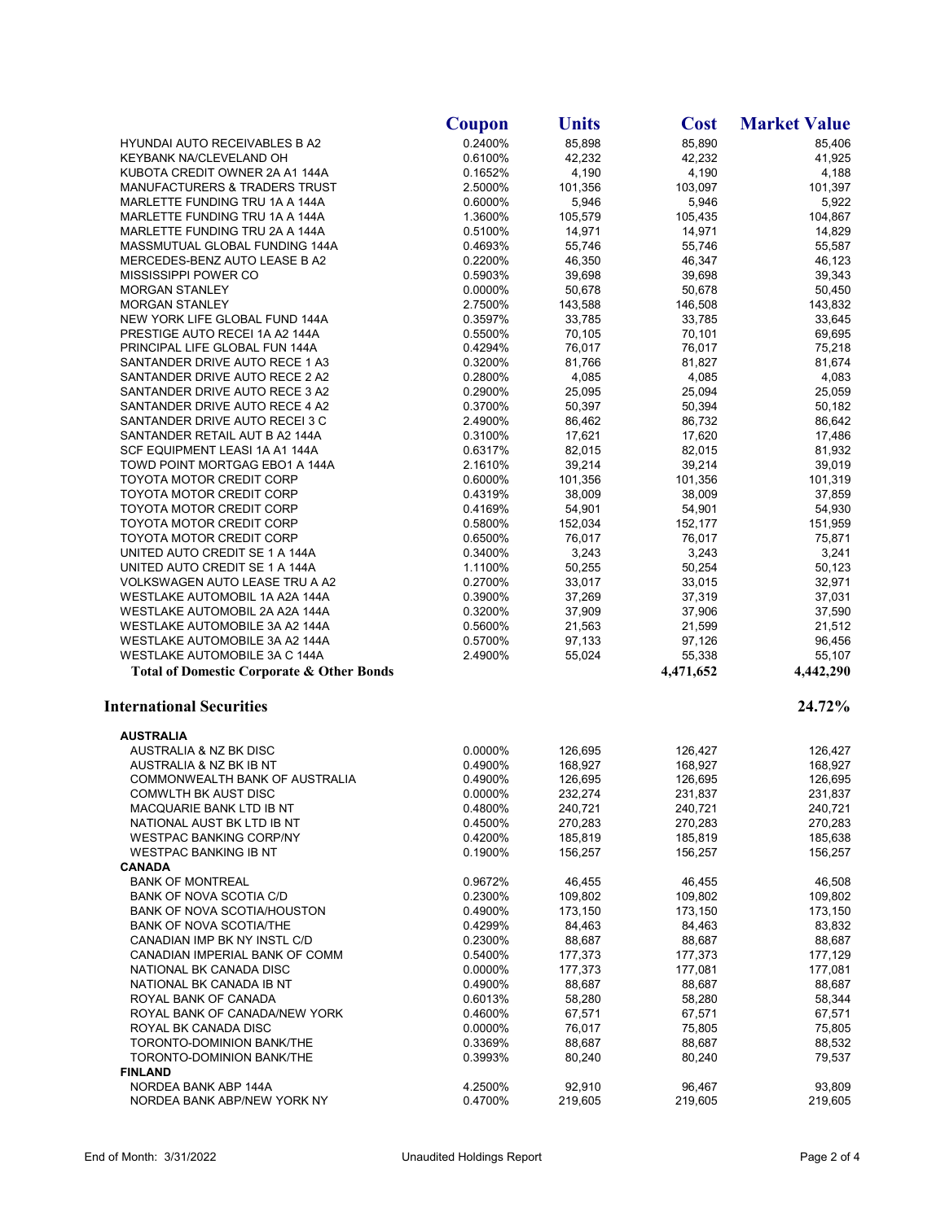|                                                                  | Coupon             | <b>Units</b>       | <b>Cost</b>        | <b>Market Value</b> |
|------------------------------------------------------------------|--------------------|--------------------|--------------------|---------------------|
| <b>HYUNDAI AUTO RECEIVABLES B A2</b>                             | 0.2400%            | 85,898             | 85,890             | 85,406              |
| KEYBANK NA/CLEVELAND OH                                          | 0.6100%            | 42,232             | 42,232             | 41,925              |
| KUBOTA CREDIT OWNER 2A A1 144A                                   | 0.1652%            | 4,190              | 4,190              | 4,188               |
| MANUFACTURERS & TRADERS TRUST                                    | 2.5000%            | 101,356            | 103,097            | 101,397             |
| MARLETTE FUNDING TRU 1A A 144A                                   | 0.6000%            | 5,946              | 5,946              | 5,922               |
| MARLETTE FUNDING TRU 1A A 144A                                   | 1.3600%            | 105,579            | 105,435            | 104,867             |
| MARLETTE FUNDING TRU 2A A 144A                                   | 0.5100%            | 14,971             | 14,971             | 14,829              |
| MASSMUTUAL GLOBAL FUNDING 144A                                   | 0.4693%            | 55,746             | 55,746             | 55,587              |
| MERCEDES-BENZ AUTO LEASE B A2<br>MISSISSIPPI POWER CO            | 0.2200%<br>0.5903% | 46,350<br>39,698   | 46,347<br>39,698   | 46,123<br>39,343    |
| <b>MORGAN STANLEY</b>                                            | 0.0000%            | 50,678             | 50,678             | 50,450              |
| <b>MORGAN STANLEY</b>                                            | 2.7500%            | 143,588            | 146,508            | 143,832             |
| NEW YORK LIFE GLOBAL FUND 144A                                   | 0.3597%            | 33,785             | 33,785             | 33,645              |
| PRESTIGE AUTO RECEI 1A A2 144A                                   | 0.5500%            | 70,105             | 70,101             | 69,695              |
| PRINCIPAL LIFE GLOBAL FUN 144A                                   | 0.4294%            | 76,017             | 76,017             | 75,218              |
| SANTANDER DRIVE AUTO RECE 1 A3                                   | 0.3200%            | 81,766             | 81,827             | 81,674              |
| SANTANDER DRIVE AUTO RECE 2 A2                                   | 0.2800%            | 4,085              | 4,085              | 4,083               |
| SANTANDER DRIVE AUTO RECE 3 A2                                   | 0.2900%            | 25,095             | 25,094             | 25,059              |
| SANTANDER DRIVE AUTO RECE 4 A2                                   | 0.3700%            | 50,397             | 50,394             | 50,182              |
| SANTANDER DRIVE AUTO RECEI 3 C                                   | 2.4900%            | 86,462             | 86,732             | 86,642              |
| SANTANDER RETAIL AUT B A2 144A                                   | 0.3100%            | 17,621             | 17,620             | 17,486              |
| SCF EQUIPMENT LEASI 1A A1 144A                                   | 0.6317%            | 82,015             | 82,015             | 81,932              |
| TOWD POINT MORTGAG EBO1 A 144A                                   | 2.1610%            | 39,214             | 39,214             | 39,019              |
| TOYOTA MOTOR CREDIT CORP                                         | 0.6000%            | 101,356            | 101,356            | 101,319             |
| <b>TOYOTA MOTOR CREDIT CORP</b>                                  | 0.4319%            | 38,009             | 38,009             | 37,859              |
| <b>TOYOTA MOTOR CREDIT CORP</b>                                  | 0.4169%            | 54,901             | 54,901             | 54,930              |
| <b>TOYOTA MOTOR CREDIT CORP</b>                                  | 0.5800%            | 152,034            | 152,177            | 151,959             |
| <b>TOYOTA MOTOR CREDIT CORP</b>                                  | 0.6500%            | 76,017             | 76,017             | 75,871              |
| UNITED AUTO CREDIT SE 1 A 144A                                   | 0.3400%            | 3,243<br>50,255    | 3,243              | 3,241               |
| UNITED AUTO CREDIT SE 1 A 144A<br>VOLKSWAGEN AUTO LEASE TRU A A2 | 1.1100%<br>0.2700% | 33,017             | 50,254<br>33,015   | 50,123<br>32,971    |
| WESTLAKE AUTOMOBIL 1A A2A 144A                                   | 0.3900%            | 37,269             | 37,319             | 37,031              |
| WESTLAKE AUTOMOBIL 2A A2A 144A                                   | 0.3200%            | 37,909             | 37,906             | 37,590              |
| WESTLAKE AUTOMOBILE 3A A2 144A                                   | 0.5600%            | 21,563             | 21,599             | 21,512              |
| WESTLAKE AUTOMOBILE 3A A2 144A                                   | 0.5700%            | 97,133             | 97,126             | 96,456              |
| WESTLAKE AUTOMOBILE 3A C 144A                                    | 2.4900%            | 55,024             | 55,338             | 55,107              |
| <b>Total of Domestic Corporate &amp; Other Bonds</b>             |                    |                    | 4,471,652          | 4,442,290           |
| <b>International Securities</b>                                  |                    |                    |                    | 24.72%              |
| <b>AUSTRALIA</b>                                                 |                    |                    |                    |                     |
| AUSTRALIA & NZ BK DISC                                           | 0.0000%            | 126,695            | 126,427            | 126,427             |
| AUSTRALIA & NZ BK IB NT                                          | 0.4900%            | 168,927            | 168,927            | 168,927             |
| COMMONWEALTH BANK OF AUSTRALIA                                   | 0.4900%            | 126,695            | 126,695            | 126,695             |
| <b>COMWLTH BK AUST DISC</b>                                      | 0.0000%            | 232,274            | 231,837            | 231,837             |
| MACQUARIE BANK LTD IB NT                                         | 0.4800%            | 240,721            | 240,721            | 240,721             |
| NATIONAL AUST BK LTD IB NT                                       | 0.4500%<br>0.4200% | 270,283            | 270,283<br>185,819 | 270,283             |
| <b>WESTPAC BANKING CORP/NY</b><br><b>WESTPAC BANKING IB NT</b>   | 0.1900%            | 185,819<br>156,257 | 156,257            | 185,638<br>156,257  |
| <b>CANADA</b>                                                    |                    |                    |                    |                     |
| <b>BANK OF MONTREAL</b>                                          | 0.9672%            | 46,455             | 46,455             | 46,508              |
| BANK OF NOVA SCOTIA C/D                                          | 0.2300%            | 109,802            | 109,802            | 109,802             |
| <b>BANK OF NOVA SCOTIA/HOUSTON</b>                               | 0.4900%            | 173,150            | 173,150            | 173,150             |
| <b>BANK OF NOVA SCOTIA/THE</b>                                   | 0.4299%            | 84,463             | 84,463             | 83,832              |
| CANADIAN IMP BK NY INSTL C/D                                     | 0.2300%            | 88,687             | 88,687             | 88,687              |
| CANADIAN IMPERIAL BANK OF COMM                                   | 0.5400%            | 177,373            | 177,373            | 177,129             |
| NATIONAL BK CANADA DISC                                          | 0.0000%            | 177,373            | 177,081            | 177,081             |
| NATIONAL BK CANADA IB NT                                         | 0.4900%            | 88,687             | 88,687             | 88,687              |
| ROYAL BANK OF CANADA                                             | 0.6013%            | 58,280             | 58,280             | 58,344              |
| ROYAL BANK OF CANADA/NEW YORK                                    | 0.4600%            | 67,571             | 67,571             | 67,571              |
| ROYAL BK CANADA DISC                                             | 0.0000%            | 76,017             | 75,805             | 75,805              |
| TORONTO-DOMINION BANK/THE                                        | 0.3369%            | 88,687             | 88,687             | 88,532              |
| TORONTO-DOMINION BANK/THE                                        | 0.3993%            | 80,240             | 80,240             | 79,537              |
| <b>FINLAND</b>                                                   |                    |                    |                    |                     |
| NORDEA BANK ABP 144A                                             | 4.2500%            | 92,910             | 96,467             | 93,809              |
| NORDEA BANK ABP/NEW YORK NY                                      | 0.4700%            | 219,605            | 219,605            | 219,605             |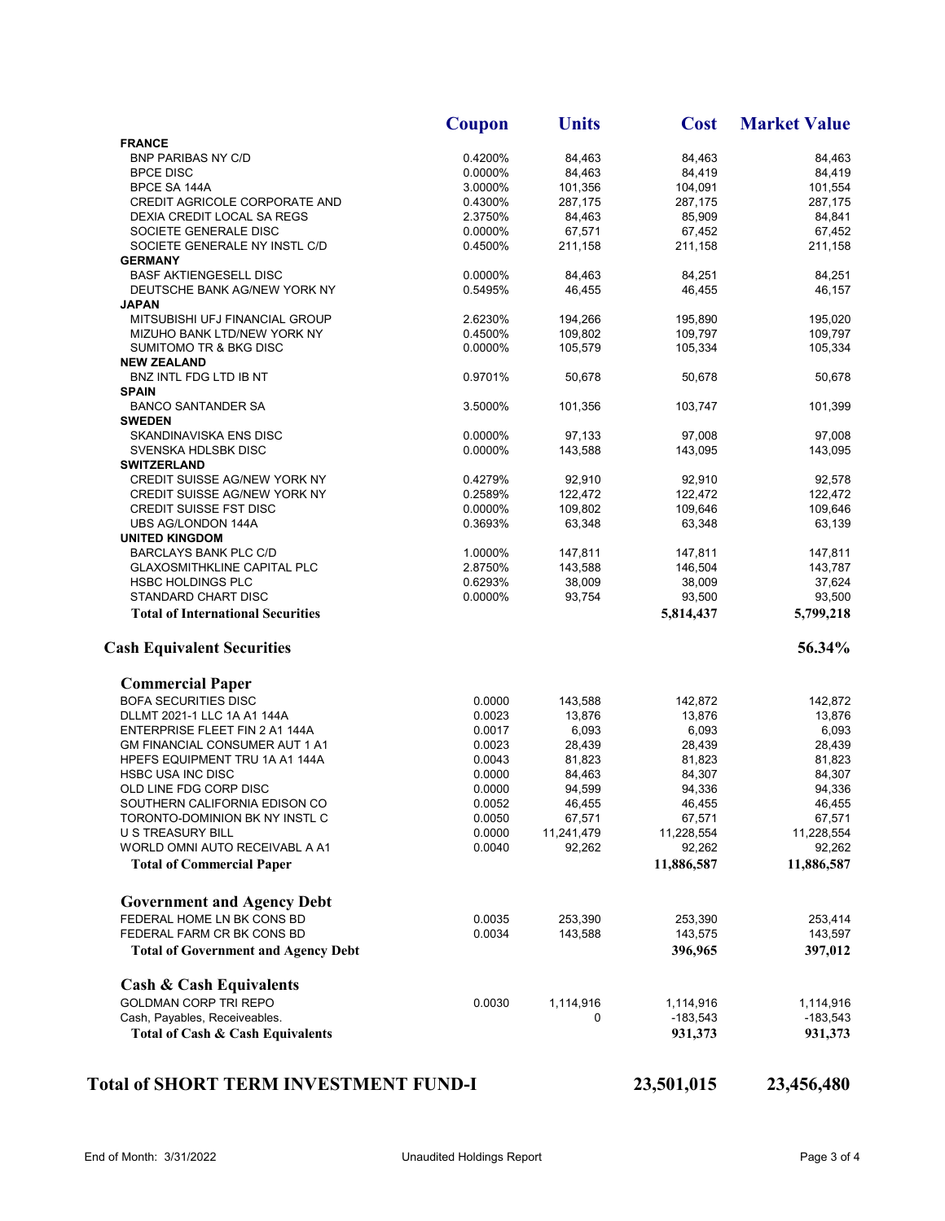|                                                                                                   | Coupon  | <b>Units</b> | <b>Cost</b> | <b>Market Value</b> |
|---------------------------------------------------------------------------------------------------|---------|--------------|-------------|---------------------|
| <b>FRANCE</b>                                                                                     |         |              |             |                     |
| <b>BNP PARIBAS NY C/D</b>                                                                         | 0.4200% | 84,463       | 84,463      | 84,463              |
| <b>BPCE DISC</b>                                                                                  | 0.0000% | 84,463       | 84,419      | 84,419              |
| BPCE SA 144A                                                                                      | 3.0000% | 101,356      | 104,091     | 101,554             |
| CREDIT AGRICOLE CORPORATE AND                                                                     | 0.4300% | 287,175      | 287,175     | 287,175             |
| DEXIA CREDIT LOCAL SA REGS                                                                        | 2.3750% | 84,463       | 85,909      | 84,841              |
| SOCIETE GENERALE DISC                                                                             | 0.0000% | 67,571       | 67,452      | 67,452              |
| SOCIETE GENERALE NY INSTL C/D                                                                     | 0.4500% | 211,158      | 211,158     | 211,158             |
| <b>GERMANY</b>                                                                                    |         |              |             |                     |
| <b>BASF AKTIENGESELL DISC</b>                                                                     | 0.0000% | 84,463       | 84,251      | 84,251              |
| DEUTSCHE BANK AG/NEW YORK NY                                                                      | 0.5495% | 46,455       | 46,455      | 46,157              |
| <b>JAPAN</b>                                                                                      |         |              |             |                     |
| MITSUBISHI UFJ FINANCIAL GROUP                                                                    | 2.6230% | 194,266      | 195,890     | 195,020             |
| MIZUHO BANK LTD/NEW YORK NY                                                                       | 0.4500% | 109.802      | 109,797     | 109.797             |
|                                                                                                   | 0.0000% | 105,579      | 105,334     |                     |
| <b>SUMITOMO TR &amp; BKG DISC</b>                                                                 |         |              |             | 105,334             |
| <b>NEW ZEALAND</b>                                                                                |         |              |             |                     |
| BNZ INTL FDG LTD IB NT                                                                            | 0.9701% | 50,678       | 50,678      | 50,678              |
| <b>SPAIN</b>                                                                                      |         |              |             |                     |
| <b>BANCO SANTANDER SA</b>                                                                         | 3.5000% | 101,356      | 103,747     | 101,399             |
| <b>SWEDEN</b>                                                                                     |         |              |             |                     |
| SKANDINAVISKA ENS DISC                                                                            | 0.0000% | 97,133       | 97,008      | 97,008              |
| SVENSKA HDLSBK DISC                                                                               | 0.0000% | 143,588      | 143,095     | 143,095             |
| <b>SWITZERLAND</b>                                                                                |         |              |             |                     |
| CREDIT SUISSE AG/NEW YORK NY                                                                      | 0.4279% | 92,910       | 92,910      | 92,578              |
| CREDIT SUISSE AG/NEW YORK NY                                                                      | 0.2589% | 122,472      | 122,472     | 122,472             |
| <b>CREDIT SUISSE FST DISC</b>                                                                     | 0.0000% | 109,802      | 109.646     | 109,646             |
| UBS AG/LONDON 144A                                                                                | 0.3693% | 63,348       | 63,348      | 63,139              |
| <b>UNITED KINGDOM</b>                                                                             |         |              |             |                     |
| <b>BARCLAYS BANK PLC C/D</b>                                                                      | 1.0000% | 147,811      | 147,811     | 147,811             |
| <b>GLAXOSMITHKLINE CAPITAL PLC</b>                                                                | 2.8750% | 143,588      | 146,504     | 143,787             |
| <b>HSBC HOLDINGS PLC</b>                                                                          | 0.6293% | 38,009       | 38,009      | 37,624              |
| STANDARD CHART DISC                                                                               | 0.0000% | 93,754       | 93,500      | 93,500              |
| <b>Total of International Securities</b>                                                          |         |              | 5,814,437   | 5,799,218           |
| <b>Cash Equivalent Securities</b>                                                                 |         |              |             | 56.34%              |
| <b>Commercial Paper</b>                                                                           |         |              |             |                     |
| <b>BOFA SECURITIES DISC</b>                                                                       | 0.0000  | 143,588      | 142,872     | 142,872             |
| DLLMT 2021-1 LLC 1A A1 144A                                                                       | 0.0023  | 13,876       | 13,876      | 13,876              |
| ENTERPRISE FLEET FIN 2 A1 144A                                                                    | 0.0017  | 6,093        | 6,093       | 6,093               |
| GM FINANCIAL CONSUMER AUT 1 A1                                                                    | 0.0023  | 28,439       | 28,439      | 28,439              |
| HPEFS EQUIPMENT TRU 1A A1 144A                                                                    | 0.0043  | 81,823       | 81,823      | 81,823              |
| <b>HSBC USA INC DISC</b>                                                                          | 0.0000  | 84,463       | 84,307      | 84,307              |
| OLD LINE FDG CORP DISC                                                                            | 0.0000  | 94,599       | 94,336      | 94,336              |
| SOUTHERN CALIFORNIA EDISON CO                                                                     | 0.0052  | 46,455       | 46,455      | 46,455              |
| TORONTO-DOMINION BK NY INSTL C                                                                    | 0.0050  | 67,571       | 67,571      | 67,571              |
| <b>U S TREASURY BILL</b>                                                                          | 0.0000  | 11,241,479   | 11,228,554  | 11,228,554          |
| WORLD OMNI AUTO RECEIVABL A A1                                                                    | 0.0040  | 92,262       | 92,262      | 92,262              |
|                                                                                                   |         |              |             |                     |
| <b>Total of Commercial Paper</b>                                                                  |         |              | 11,886,587  | 11,886,587          |
| <b>Government and Agency Debt</b>                                                                 |         |              |             |                     |
| FEDERAL HOME LN BK CONS BD                                                                        | 0.0035  | 253,390      | 253,390     | 253,414             |
| FEDERAL FARM CR BK CONS BD                                                                        | 0.0034  | 143,588      | 143,575     | 143,597             |
| <b>Total of Government and Agency Debt</b>                                                        |         |              | 396,965     | 397,012             |
|                                                                                                   |         |              |             |                     |
| <b>Cash &amp; Cash Equivalents</b>                                                                |         |              |             |                     |
|                                                                                                   |         | 1,114,916    | 1,114,916   | 1,114,916           |
|                                                                                                   | 0.0030  |              |             |                     |
|                                                                                                   |         | 0            | -183,543    | $-183,543$          |
| <b>GOLDMAN CORP TRI REPO</b><br>Cash, Payables, Receiveables.<br>Total of Cash & Cash Equivalents |         |              | 931,373     |                     |
|                                                                                                   |         |              |             | 931,373             |